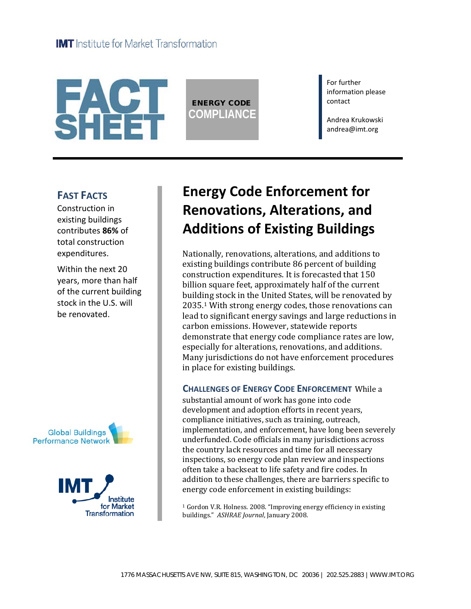

ENERGY CODE **COMPLIANCE** For further information please contact

Andrea Krukowski andrea@imt.org

### **FAST FACTS**

Construction in existing buildings contributes **86%** of total construction expenditures.

Within the next 20 years, more than half of the current building stock in the U.S. will be renovated.





# **Energy Code Enforcement for Renovations, Alterations, and Additions of Existing Buildings**

Nationally, renovations, alterations, and additions to existing buildings contribute 86 percent of building construction expenditures. It is forecasted that 150 billion square feet, approximately half of the current building stock in the United States, will be renovated by 2035. <sup>1</sup> With strong energy codes, those renovations can lead to significant energy savings and large reductions in carbon emissions. However, statewide reports demonstrate that energy code compliance rates are low, especially for alterations, renovations, and additions. Many jurisdictions do not have enforcement procedures in place for existing buildings.

### **CHALLENGES OF ENERGY CODE ENFORCEMENT** While a

substantial amount of work has gone into code development and adoption efforts in recent years, compliance initiatives, such as training, outreach, implementation, and enforcement, have long been severely underfunded. Code officials in many jurisdictions across the country lack resources and time for all necessary inspections, so energy code plan review and inspections often take a backseat to life safety and fire codes. In addition to these challenges, there are barriers specific to energy code enforcement in existing buildings:

<sup>1</sup> Gordon V.R. Holness. 2008. "Improving energy efficiency in existing buildings." *ASHRAE Journal*, January 2008.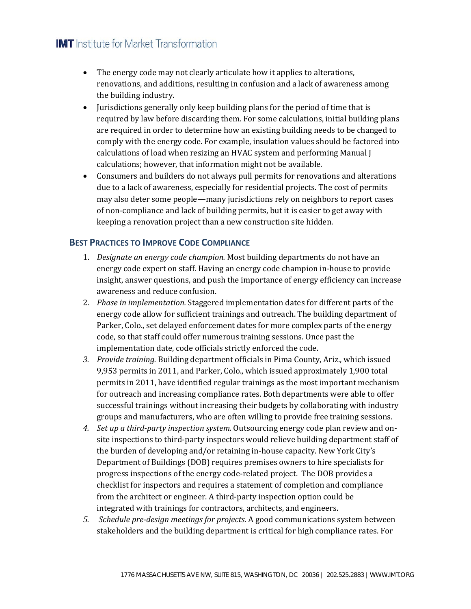### **IMT** Institute for Market Transformation

- The energy code may not clearly articulate how it applies to alterations, renovations, and additions, resulting in confusion and a lack of awareness among the building industry.
- Jurisdictions generally only keep building plans for the period of time that is required by law before discarding them. For some calculations, initial building plans are required in order to determine how an existing building needs to be changed to comply with the energy code. For example, insulation values should be factored into calculations of load when resizing an HVAC system and performing Manual J calculations; however, that information might not be available.
- Consumers and builders do not always pull permits for renovations and alterations due to a lack of awareness, especially for residential projects. The cost of permits may also deter some people—many jurisdictions rely on neighbors to report cases of non-compliance and lack of building permits, but it is easier to get away with keeping a renovation project than a new construction site hidden.

### **BEST PRACTICES TO IMPROVE CODE COMPLIANCE**

- 1. *Designate an energy code champion.* Most building departments do not have an energy code expert on staff. Having an energy code champion in-house to provide insight, answer questions, and push the importance of energy efficiency can increase awareness and reduce confusion.
- 2. *Phase in implementation.* Staggered implementation dates for different parts of the energy code allow for sufficient trainings and outreach. The building department of Parker, Colo., set delayed enforcement dates for more complex parts of the energy code, so that staff could offer numerous training sessions. Once past the implementation date, code officials strictly enforced the code.
- *3. Provide training.* Building department officials in Pima County, Ariz., which issued 9,953 permits in 2011, and Parker, Colo., which issued approximately 1,900 total permits in 2011, have identified regular trainings as the most important mechanism for outreach and increasing compliance rates. Both departments were able to offer successful trainings without increasing their budgets by collaborating with industry groups and manufacturers, who are often willing to provide free training sessions.
- *4. Set up a third-party inspection system.* Outsourcing energy code plan review and onsite inspections to third-party inspectors would relieve building department staff of the burden of developing and/or retaining in-house capacity. New York City's Department of Buildings (DOB) requires premises owners to hire specialists for progress inspections of the energy code-related project. The DOB provides a checklist for inspectors and requires a statement of completion and compliance from the architect or engineer. A third-party inspection option could be integrated with trainings for contractors, architects, and engineers.
- *5. Schedule pre-design meetings for projects*. A good communications system between stakeholders and the building department is critical for high compliance rates. For